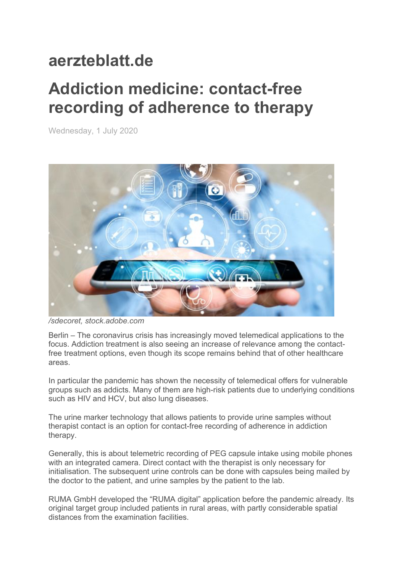## **aerzteblatt.de**

## **Addiction medicine: contact-free recording of adherence to therapy**

Wednesday, 1 July 2020



*/sdecoret, stock.adobe.com*

Berlin – The coronavirus crisis has increasingly moved telemedical applications to the focus. Addiction treatment is also seeing an increase of relevance among the contactfree treatment options, even though its scope remains behind that of other healthcare areas.

In particular the pandemic has shown the necessity of telemedical offers for vulnerable groups such as addicts. Many of them are high-risk patients due to underlying conditions such as HIV and HCV, but also lung diseases.

The urine marker technology that allows patients to provide urine samples without therapist contact is an option for contact-free recording of adherence in addiction therapy.

Generally, this is about telemetric recording of PEG capsule intake using mobile phones with an integrated camera. Direct contact with the therapist is only necessary for initialisation. The subsequent urine controls can be done with capsules being mailed by the doctor to the patient, and urine samples by the patient to the lab.

RUMA GmbH developed the "RUMA digital" application before the pandemic already. Its original target group included patients in rural areas, with partly considerable spatial distances from the examination facilities.